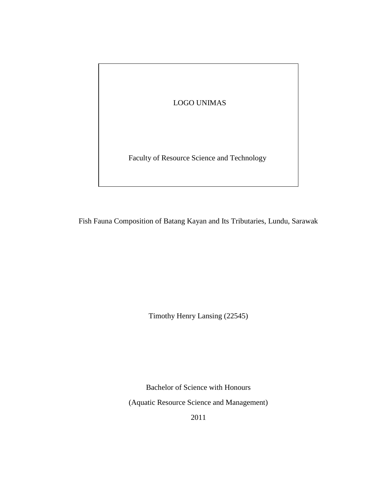LOGO UNIMAS

Faculty of Resource Science and Technology

Fish Fauna Composition of Batang Kayan and Its Tributaries, Lundu, Sarawak

Timothy Henry Lansing (22545)

Bachelor of Science with Honours (Aquatic Resource Science and Management)

2011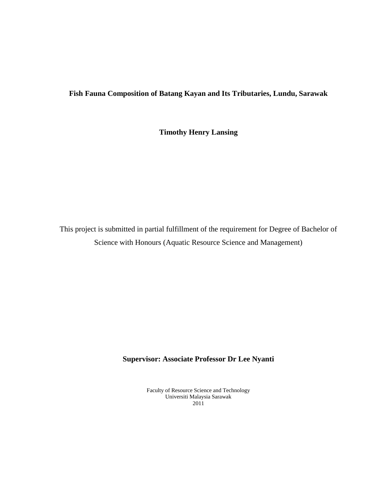# **Fish Fauna Composition of Batang Kayan and Its Tributaries, Lundu, Sarawak**

**Timothy Henry Lansing**

This project is submitted in partial fulfillment of the requirement for Degree of Bachelor of Science with Honours (Aquatic Resource Science and Management)

# **Supervisor: Associate Professor Dr Lee Nyanti**

Faculty of Resource Science and Technology Universiti Malaysia Sarawak 2011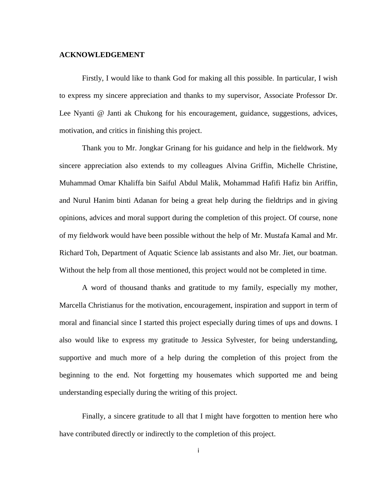#### **ACKNOWLEDGEMENT**

Firstly, I would like to thank God for making all this possible. In particular, I wish to express my sincere appreciation and thanks to my supervisor, Associate Professor Dr. Lee Nyanti @ Janti ak Chukong for his encouragement, guidance, suggestions, advices, motivation, and critics in finishing this project.

Thank you to Mr. Jongkar Grinang for his guidance and help in the fieldwork. My sincere appreciation also extends to my colleagues Alvina Griffin, Michelle Christine, Muhammad Omar Khaliffa bin Saiful Abdul Malik, Mohammad Hafifi Hafiz bin Ariffin, and Nurul Hanim binti Adanan for being a great help during the fieldtrips and in giving opinions, advices and moral support during the completion of this project. Of course, none of my fieldwork would have been possible without the help of Mr. Mustafa Kamal and Mr. Richard Toh, Department of Aquatic Science lab assistants and also Mr. Jiet, our boatman. Without the help from all those mentioned, this project would not be completed in time.

A word of thousand thanks and gratitude to my family, especially my mother, Marcella Christianus for the motivation, encouragement, inspiration and support in term of moral and financial since I started this project especially during times of ups and downs. I also would like to express my gratitude to Jessica Sylvester, for being understanding, supportive and much more of a help during the completion of this project from the beginning to the end. Not forgetting my housemates which supported me and being understanding especially during the writing of this project.

Finally, a sincere gratitude to all that I might have forgotten to mention here who have contributed directly or indirectly to the completion of this project.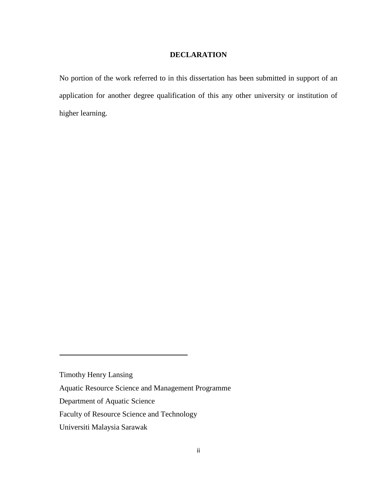## **DECLARATION**

No portion of the work referred to in this dissertation has been submitted in support of an application for another degree qualification of this any other university or institution of higher learning.

Timothy Henry Lansing

Aquatic Resource Science and Management Programme

Department of Aquatic Science

Faculty of Resource Science and Technology

Universiti Malaysia Sarawak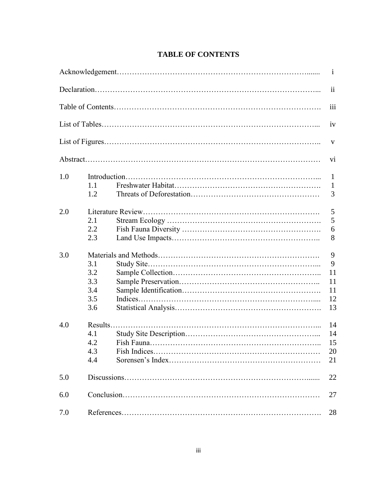|     |            |  | $\mathbf{i}$  |  |
|-----|------------|--|---------------|--|
|     |            |  | $\mathbf{ii}$ |  |
|     |            |  | iii           |  |
|     |            |  | iv            |  |
|     |            |  | $\mathbf{V}$  |  |
|     |            |  | vi            |  |
| 1.0 |            |  | $\mathbf{1}$  |  |
|     | 1.1<br>1.2 |  | 1<br>3        |  |
| 2.0 | 2.1        |  | 5<br>5        |  |
|     | 2.2<br>2.3 |  | 6<br>8        |  |
| 3.0 | 9          |  |               |  |
|     | 3.1        |  | 9             |  |
|     | 3.2        |  | 11            |  |
|     | 3.3        |  | 11            |  |
|     | 3.4        |  | 11            |  |
|     | 3.5        |  | 12            |  |
|     | 3.6        |  | 13            |  |
| 4.0 |            |  | 14            |  |
|     | 4.1        |  | 14            |  |
|     | 4.2        |  | 15            |  |
|     | 4.3        |  | 20            |  |
|     | 4.4        |  | 21            |  |
| 5.0 |            |  | 22            |  |
| 6.0 |            |  |               |  |
| 7.0 |            |  | 28            |  |

# **TABLE OF CONTENTS**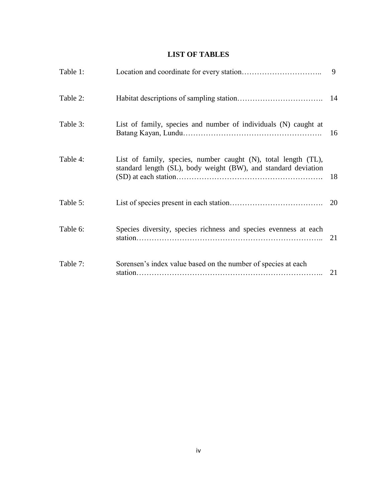| <b>LIST OF TABLES</b> |  |  |  |  |
|-----------------------|--|--|--|--|
|-----------------------|--|--|--|--|

| Table 1: |                                                                                                                                  | 9  |
|----------|----------------------------------------------------------------------------------------------------------------------------------|----|
| Table 2: |                                                                                                                                  |    |
| Table 3: | List of family, species and number of individuals (N) caught at                                                                  | 16 |
| Table 4: | List of family, species, number caught (N), total length (TL),<br>standard length (SL), body weight (BW), and standard deviation | 18 |
| Table 5: |                                                                                                                                  | 20 |
| Table 6: | Species diversity, species richness and species evenness at each                                                                 | 21 |
| Table 7: | Sorensen's index value based on the number of species at each                                                                    | 21 |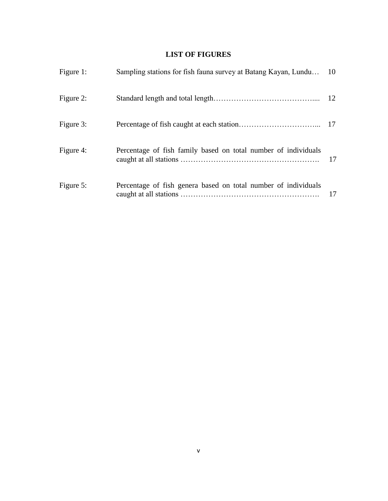# **LIST OF FIGURES**

| Figure 1: | Sampling stations for fish fauna survey at Batang Kayan, Lundu | 10 |
|-----------|----------------------------------------------------------------|----|
| Figure 2: |                                                                | 12 |
| Figure 3: |                                                                |    |
| Figure 4: | Percentage of fish family based on total number of individuals | 17 |
| Figure 5: | Percentage of fish genera based on total number of individuals | 17 |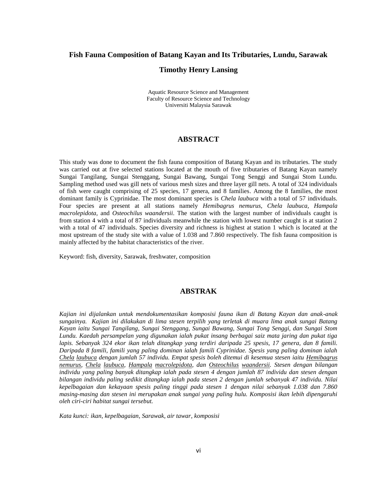#### **Fish Fauna Composition of Batang Kayan and Its Tributaries, Lundu, Sarawak**

## **Timothy Henry Lansing**

Aquatic Resource Science and Management Faculty of Resource Science and Technology Universiti Malaysia Sarawak

## **ABSTRACT**

This study was done to document the fish fauna composition of Batang Kayan and its tributaries. The study was carried out at five selected stations located at the mouth of five tributaries of Batang Kayan namely Sungai Tangilang, Sungai Stenggang, Sungai Bawang, Sungai Tong Senggi and Sungai Stom Lundu. Sampling method used was gill nets of various mesh sizes and three layer gill nets. A total of 324 individuals of fish were caught comprising of 25 species, 17 genera, and 8 families. Among the 8 families, the most dominant family is Cyprinidae. The most dominant species is *Chela laubuca* with a total of 57 individuals. Four species are present at all stations namely *Hemibagrus nemurus, Chela laubuca, Hampala macrolepidota,* and *Osteochilus waandersii*. The station with the largest number of individuals caught is from station 4 with a total of 87 individuals meanwhile the station with lowest number caught is at station 2 with a total of 47 individuals. Species diversity and richness is highest at station 1 which is located at the most upstream of the study site with a value of 1.038 and 7.860 respectively. The fish fauna composition is mainly affected by the habitat characteristics of the river.

Keyword: fish, diversity, Sarawak, freshwater, composition

### **ABSTRAK**

*Kajian ini dijalankan untuk mendokumentasikan komposisi fauna ikan di Batang Kayan dan anak-anak sungainya. Kajian ini dilakukan di lima stesen terpilih yang terletak di muara lima anak sungai Batang Kayan iaitu Sungai Tangilang, Sungai Stenggang, Sungai Bawang, Sungai Tong Senggi, dan Sungai Stom Lundu. Kaedah persampelan yang digunakan ialah pukat insang berbagai saiz mata jaring dan pukat tiga lapis. Sebanyak 324 ekor ikan telah ditangkap yang terdiri daripada 25 spesis, 17 genera, dan 8 famili. Daripada 8 famili, famili yang paling dominan ialah famili Cyprinidae. Spesis yang paling dominan ialah Chela laubuca dengan jumlah 57 individu. Empat spesis boleh ditemui di kesemua stesen iaitu Hemibagrus nemurus, Chela laubuca, Hampala macrolepidota, dan Osteochilus waandersii. Stesen dengan bilangan individu yang paling banyak ditangkap ialah pada stesen 4 dengan jumlah 87 individu dan stesen dengan bilangan individu paling sedikit ditangkap ialah pada stesen 2 dengan jumlah sebanyak 47 individu. Nilai kepelbagaian dan kekayaan spesis paling tinggi pada stesen 1 dengan nilai sebanyak 1.038 dan 7.860 masing-masing dan stesen ini merupakan anak sungai yang paling hulu. Komposisi ikan lebih dipengaruhi oleh ciri-ciri habitat sungai tersebut.*

*Kata kunci: ikan, kepelbagaian, Sarawak, air tawar, komposisi*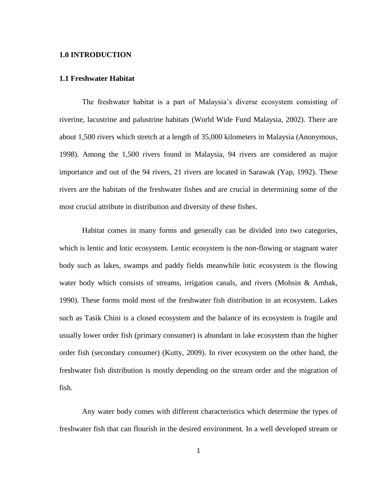### **1.0 INTRODUCTION**

## **1.1 Freshwater Habitat**

The freshwater habitat is a part of Malaysia's diverse ecosystem consisting of riverine, lacustrine and palustrine habitats (World Wide Fund Malaysia, 2002). There are about 1,500 rivers which stretch at a length of 35,000 kilometers in Malaysia (Anonymous, 1998). Among the 1,500 rivers found in Malaysia, 94 rivers are considered as major importance and out of the 94 rivers, 21 rivers are located in Sarawak (Yap, 1992). These rivers are the habitats of the freshwater fishes and are crucial in determining some of the most crucial attribute in distribution and diversity of these fishes.

Habitat comes in many forms and generally can be divided into two categories, which is lentic and lotic ecosystem. Lentic ecosystem is the non-flowing or stagnant water body such as lakes, swamps and paddy fields meanwhile lotic ecosystem is the flowing water body which consists of streams, irrigation canals, and rivers (Mohsin & Ambak, 1990). These forms mold most of the freshwater fish distribution in an ecosystem. Lakes such as Tasik Chini is a closed ecosystem and the balance of its ecosystem is fragile and usually lower order fish (primary consumer) is abundant in lake ecosystem than the higher order fish (secondary consumer) (Kutty, 2009). In river ecosystem on the other hand, the freshwater fish distribution is mostly depending on the stream order and the migration of fish.

Any water body comes with different characteristics which determine the types of freshwater fish that can flourish in the desired environment. In a well developed stream or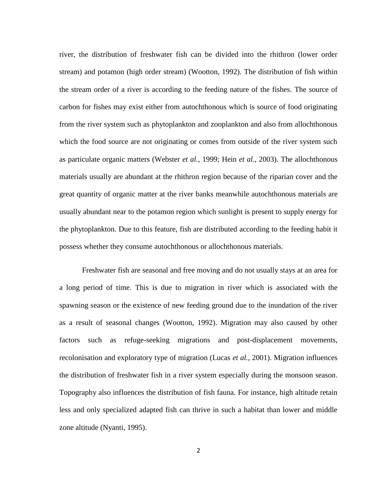river, the distribution of freshwater fish can be divided into the rhithron (lower order stream) and potamon (high order stream) (Wootton, 1992). The distribution of fish within the stream order of a river is according to the feeding nature of the fishes. The source of carbon for fishes may exist either from autochthonous which is source of food originating from the river system such as phytoplankton and zooplankton and also from allochthonous which the food source are not originating or comes from outside of the river system such as particulate organic matters (Webster *et al.*, 1999; Hein *et al.*, 2003). The allochthonous materials usually are abundant at the rhithron region because of the riparian cover and the great quantity of organic matter at the river banks meanwhile autochthonous materials are usually abundant near to the potamon region which sunlight is present to supply energy for the phytoplankton. Due to this feature, fish are distributed according to the feeding habit it possess whether they consume autochthonous or allochthonous materials.

Freshwater fish are seasonal and free moving and do not usually stays at an area for a long period of time. This is due to migration in river which is associated with the spawning season or the existence of new feeding ground due to the inundation of the river as a result of seasonal changes (Wootton, 1992). Migration may also caused by other factors such as refuge-seeking migrations and post-displacement movements, recolonisation and exploratory type of migration (Lucas *et al.*, 2001). Migration influences the distribution of freshwater fish in a river system especially during the monsoon season. Topography also influences the distribution of fish fauna. For instance, high altitude retain less and only specialized adapted fish can thrive in such a habitat than lower and middle zone altitude (Nyanti, 1995).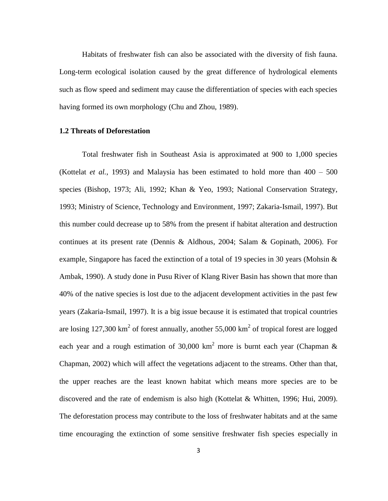Habitats of freshwater fish can also be associated with the diversity of fish fauna. Long-term ecological isolation caused by the great difference of hydrological elements such as flow speed and sediment may cause the differentiation of species with each species having formed its own morphology (Chu and Zhou, 1989).

## **1.2 Threats of Deforestation**

Total freshwater fish in Southeast Asia is approximated at 900 to 1,000 species (Kottelat *et al.*, 1993) and Malaysia has been estimated to hold more than 400 – 500 species (Bishop, 1973; Ali, 1992; Khan & Yeo, 1993; National Conservation Strategy, 1993; Ministry of Science, Technology and Environment, 1997; Zakaria-Ismail, 1997). But this number could decrease up to 58% from the present if habitat alteration and destruction continues at its present rate (Dennis & Aldhous, 2004; Salam & Gopinath, 2006). For example, Singapore has faced the extinction of a total of 19 species in 30 years (Mohsin & Ambak, 1990). A study done in Pusu River of Klang River Basin has shown that more than 40% of the native species is lost due to the adjacent development activities in the past few years (Zakaria-Ismail, 1997). It is a big issue because it is estimated that tropical countries are losing 127,300 km<sup>2</sup> of forest annually, another 55,000 km<sup>2</sup> of tropical forest are logged each year and a rough estimation of 30,000 km<sup>2</sup> more is burnt each year (Chapman & Chapman, 2002) which will affect the vegetations adjacent to the streams. Other than that, the upper reaches are the least known habitat which means more species are to be discovered and the rate of endemism is also high (Kottelat & Whitten, 1996; Hui, 2009). The deforestation process may contribute to the loss of freshwater habitats and at the same time encouraging the extinction of some sensitive freshwater fish species especially in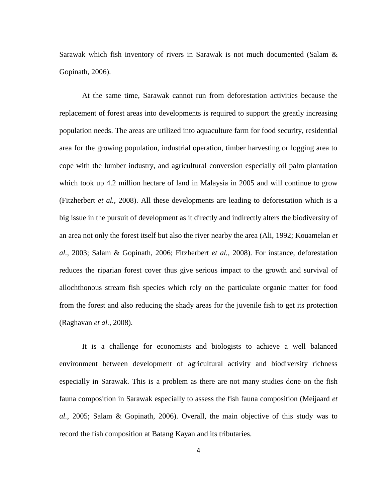Sarawak which fish inventory of rivers in Sarawak is not much documented (Salam & Gopinath, 2006).

At the same time, Sarawak cannot run from deforestation activities because the replacement of forest areas into developments is required to support the greatly increasing population needs. The areas are utilized into aquaculture farm for food security, residential area for the growing population, industrial operation, timber harvesting or logging area to cope with the lumber industry, and agricultural conversion especially oil palm plantation which took up 4.2 million hectare of land in Malaysia in 2005 and will continue to grow (Fitzherbert *et al.,* 2008). All these developments are leading to deforestation which is a big issue in the pursuit of development as it directly and indirectly alters the biodiversity of an area not only the forest itself but also the river nearby the area (Ali, 1992; Kouamelan *et al.,* 2003; Salam & Gopinath, 2006; Fitzherbert *et al.,* 2008). For instance, deforestation reduces the riparian forest cover thus give serious impact to the growth and survival of allochthonous stream fish species which rely on the particulate organic matter for food from the forest and also reducing the shady areas for the juvenile fish to get its protection (Raghavan *et al.,* 2008).

It is a challenge for economists and biologists to achieve a well balanced environment between development of agricultural activity and biodiversity richness especially in Sarawak. This is a problem as there are not many studies done on the fish fauna composition in Sarawak especially to assess the fish fauna composition (Meijaard *et al.,* 2005; Salam & Gopinath, 2006). Overall, the main objective of this study was to record the fish composition at Batang Kayan and its tributaries.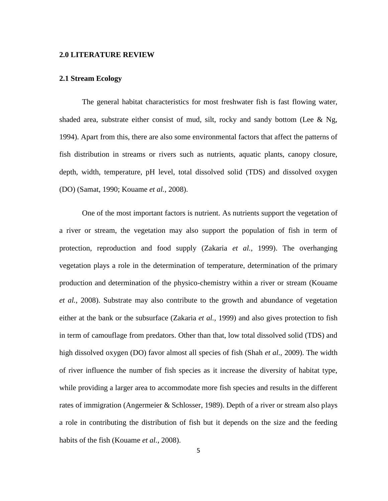#### **2.0 LITERATURE REVIEW**

#### **2.1 Stream Ecology**

The general habitat characteristics for most freshwater fish is fast flowing water, shaded area, substrate either consist of mud, silt, rocky and sandy bottom (Lee  $\&$  Ng, 1994). Apart from this, there are also some environmental factors that affect the patterns of fish distribution in streams or rivers such as nutrients, aquatic plants, canopy closure, depth, width, temperature, pH level, total dissolved solid (TDS) and dissolved oxygen (DO) (Samat, 1990; Kouame *et al.*, 2008).

One of the most important factors is nutrient. As nutrients support the vegetation of a river or stream, the vegetation may also support the population of fish in term of protection, reproduction and food supply (Zakaria *et al.,* 1999). The overhanging vegetation plays a role in the determination of temperature, determination of the primary production and determination of the physico-chemistry within a river or stream (Kouame *et al.*, 2008). Substrate may also contribute to the growth and abundance of vegetation either at the bank or the subsurface (Zakaria *et al.,* 1999) and also gives protection to fish in term of camouflage from predators. Other than that, low total dissolved solid (TDS) and high dissolved oxygen (DO) favor almost all species of fish (Shah *et al.,* 2009). The width of river influence the number of fish species as it increase the diversity of habitat type, while providing a larger area to accommodate more fish species and results in the different rates of immigration (Angermeier & Schlosser, 1989). Depth of a river or stream also plays a role in contributing the distribution of fish but it depends on the size and the feeding habits of the fish (Kouame *et al.*, 2008).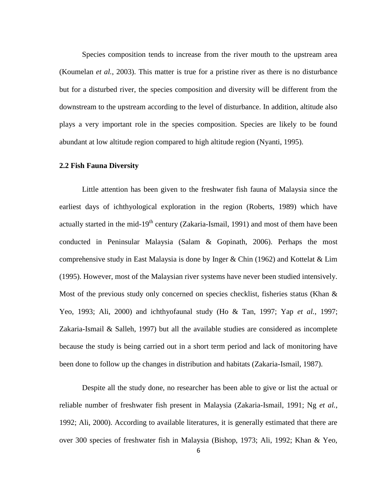Species composition tends to increase from the river mouth to the upstream area (Koumelan *et al.*, 2003). This matter is true for a pristine river as there is no disturbance but for a disturbed river, the species composition and diversity will be different from the downstream to the upstream according to the level of disturbance. In addition, altitude also plays a very important role in the species composition. Species are likely to be found abundant at low altitude region compared to high altitude region (Nyanti, 1995).

### **2.2 Fish Fauna Diversity**

Little attention has been given to the freshwater fish fauna of Malaysia since the earliest days of ichthyological exploration in the region (Roberts, 1989) which have actually started in the mid-19<sup>th</sup> century (Zakaria-Ismail, 1991) and most of them have been conducted in Peninsular Malaysia (Salam & Gopinath, 2006). Perhaps the most comprehensive study in East Malaysia is done by Inger & Chin (1962) and Kottelat & Lim (1995). However, most of the Malaysian river systems have never been studied intensively. Most of the previous study only concerned on species checklist, fisheries status (Khan & Yeo, 1993; Ali, 2000) and ichthyofaunal study (Ho & Tan, 1997; Yap *et al.*, 1997; Zakaria-Ismail & Salleh, 1997) but all the available studies are considered as incomplete because the study is being carried out in a short term period and lack of monitoring have been done to follow up the changes in distribution and habitats (Zakaria-Ismail, 1987).

Despite all the study done, no researcher has been able to give or list the actual or reliable number of freshwater fish present in Malaysia (Zakaria-Ismail, 1991; Ng *et al.*, 1992; Ali, 2000). According to available literatures, it is generally estimated that there are over 300 species of freshwater fish in Malaysia (Bishop, 1973; Ali, 1992; Khan & Yeo,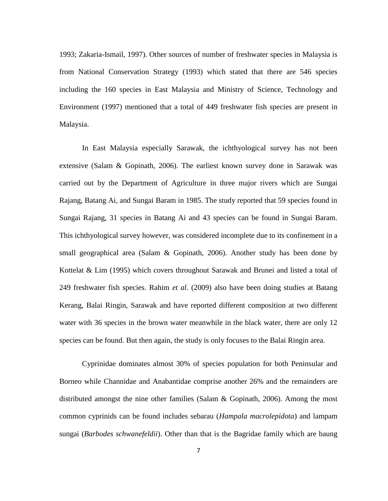1993; Zakaria-Ismail, 1997). Other sources of number of freshwater species in Malaysia is from National Conservation Strategy (1993) which stated that there are 546 species including the 160 species in East Malaysia and Ministry of Science, Technology and Environment (1997) mentioned that a total of 449 freshwater fish species are present in Malaysia.

In East Malaysia especially Sarawak, the ichthyological survey has not been extensive (Salam & Gopinath, 2006). The earliest known survey done in Sarawak was carried out by the Department of Agriculture in three major rivers which are Sungai Rajang, Batang Ai, and Sungai Baram in 1985. The study reported that 59 species found in Sungai Rajang, 31 species in Batang Ai and 43 species can be found in Sungai Baram. This ichthyological survey however, was considered incomplete due to its confinement in a small geographical area (Salam & Gopinath, 2006). Another study has been done by Kottelat & Lim (1995) which covers throughout Sarawak and Brunei and listed a total of 249 freshwater fish species. Rahim *et al.* (2009) also have been doing studies at Batang Kerang, Balai Ringin, Sarawak and have reported different composition at two different water with 36 species in the brown water meanwhile in the black water, there are only 12 species can be found. But then again, the study is only focuses to the Balai Ringin area.

Cyprinidae dominates almost 30% of species population for both Peninsular and Borneo while Channidae and Anabantidae comprise another 26% and the remainders are distributed amongst the nine other families (Salam & Gopinath, 2006). Among the most common cyprinids can be found includes sebarau (*Hampala macrolepidota*) and lampam sungai (*Barbodes schwanefeldii*). Other than that is the Bagridae family which are baung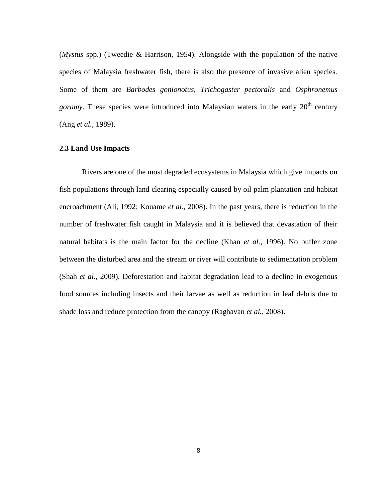(*Mystus* spp.) (Tweedie & Harrison, 1954). Alongside with the population of the native species of Malaysia freshwater fish, there is also the presence of invasive alien species. Some of them are *Barbodes gonionotus*, *Trichogaster pectoralis* and *Osphronemus goramy*. These species were introduced into Malaysian waters in the early  $20<sup>th</sup>$  century (Ang *et al.*, 1989).

#### **2.3 Land Use Impacts**

Rivers are one of the most degraded ecosystems in Malaysia which give impacts on fish populations through land clearing especially caused by oil palm plantation and habitat encroachment (Ali, 1992; Kouame *et al.*, 2008). In the past years, there is reduction in the number of freshwater fish caught in Malaysia and it is believed that devastation of their natural habitats is the main factor for the decline (Khan *et al.*, 1996). No buffer zone between the disturbed area and the stream or river will contribute to sedimentation problem (Shah *et al.,* 2009). Deforestation and habitat degradation lead to a decline in exogenous food sources including insects and their larvae as well as reduction in leaf debris due to shade loss and reduce protection from the canopy (Raghavan *et al.,* 2008).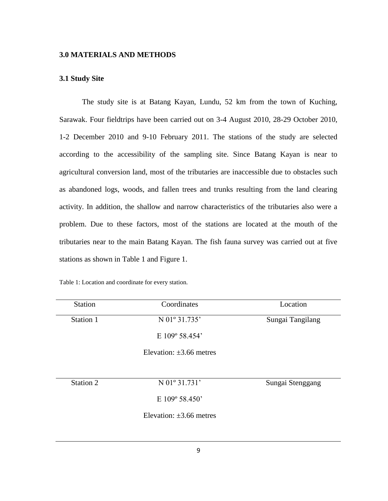### **3.0 MATERIALS AND METHODS**

## **3.1 Study Site**

The study site is at Batang Kayan, Lundu, 52 km from the town of Kuching, Sarawak. Four fieldtrips have been carried out on 3-4 August 2010, 28-29 October 2010, 1-2 December 2010 and 9-10 February 2011. The stations of the study are selected according to the accessibility of the sampling site. Since Batang Kayan is near to agricultural conversion land, most of the tributaries are inaccessible due to obstacles such as abandoned logs, woods, and fallen trees and trunks resulting from the land clearing activity. In addition, the shallow and narrow characteristics of the tributaries also were a problem. Due to these factors, most of the stations are located at the mouth of the tributaries near to the main Batang Kayan. The fish fauna survey was carried out at five stations as shown in Table 1 and Figure 1.

| <b>Station</b> | Coordinates                  |                  |
|----------------|------------------------------|------------------|
|                |                              | Location         |
| Station 1      | N 01° 31.735'                | Sungai Tangilang |
|                | E 109° 58.454'               |                  |
|                | Elevation: $\pm 3.66$ metres |                  |
|                |                              |                  |
| Station 2      | N 01° 31.731'                | Sungai Stenggang |
|                | E 109° 58.450'               |                  |
|                | Elevation: $\pm 3.66$ metres |                  |

Table 1: Location and coordinate for every station.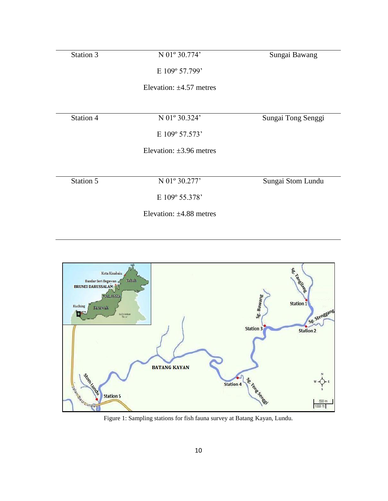| Station 3 | N 01° 30.774'                | Sungai Bawang      |
|-----------|------------------------------|--------------------|
|           | E 109° 57.799'               |                    |
|           | Elevation: $\pm 4.57$ metres |                    |
|           |                              |                    |
| Station 4 | N 01° 30.324'                | Sungai Tong Senggi |
|           | E 109° 57.573'               |                    |
|           | Elevation: $\pm 3.96$ metres |                    |
|           |                              |                    |
| Station 5 | N 01° 30.277'                | Sungai Stom Lundu  |
|           | E 109° 55.378'               |                    |
|           | Elevation: $\pm 4.88$ metres |                    |



Figure 1: Sampling stations for fish fauna survey at Batang Kayan, Lundu.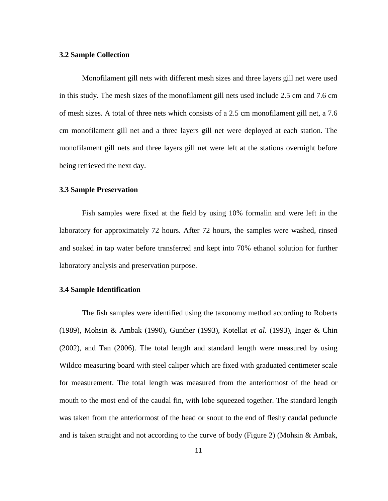#### **3.2 Sample Collection**

Monofilament gill nets with different mesh sizes and three layers gill net were used in this study. The mesh sizes of the monofilament gill nets used include 2.5 cm and 7.6 cm of mesh sizes. A total of three nets which consists of a 2.5 cm monofilament gill net, a 7.6 cm monofilament gill net and a three layers gill net were deployed at each station. The monofilament gill nets and three layers gill net were left at the stations overnight before being retrieved the next day.

## **3.3 Sample Preservation**

Fish samples were fixed at the field by using 10% formalin and were left in the laboratory for approximately 72 hours. After 72 hours, the samples were washed, rinsed and soaked in tap water before transferred and kept into 70% ethanol solution for further laboratory analysis and preservation purpose.

## **3.4 Sample Identification**

The fish samples were identified using the taxonomy method according to Roberts (1989), Mohsin & Ambak (1990), Gunther (1993), Kotellat *et al.* (1993), Inger & Chin (2002), and Tan (2006). The total length and standard length were measured by using Wildco measuring board with steel caliper which are fixed with graduated centimeter scale for measurement. The total length was measured from the anteriormost of the head or mouth to the most end of the caudal fin, with lobe squeezed together. The standard length was taken from the anteriormost of the head or snout to the end of fleshy caudal peduncle and is taken straight and not according to the curve of body (Figure 2) (Mohsin & Ambak,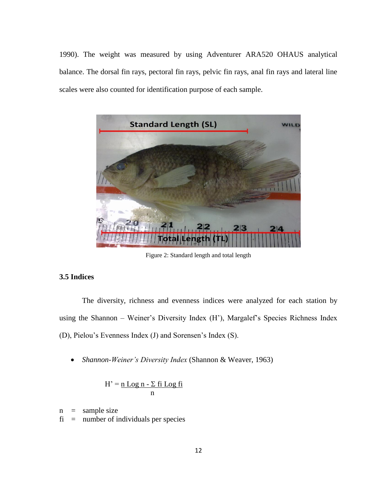1990). The weight was measured by using Adventurer ARA520 OHAUS analytical balance. The dorsal fin rays, pectoral fin rays, pelvic fin rays, anal fin rays and lateral line scales were also counted for identification purpose of each sample.



Figure 2: Standard length and total length

## **3.5 Indices**

The diversity, richness and evenness indices were analyzed for each station by using the Shannon – Weiner's Diversity Index (H'), Margalef's Species Richness Index (D), Pielou's Evenness Index (J) and Sorensen's Index (S).

*Shannon-Weiner's Diversity Index* (Shannon & Weaver, 1963)

$$
H' = \underbrace{n \text{ Log } n}_{n} - \underbrace{\Sigma \text{ fi Log } fi}_{n}
$$

 $n =$  sample size

 $fi =$  number of individuals per species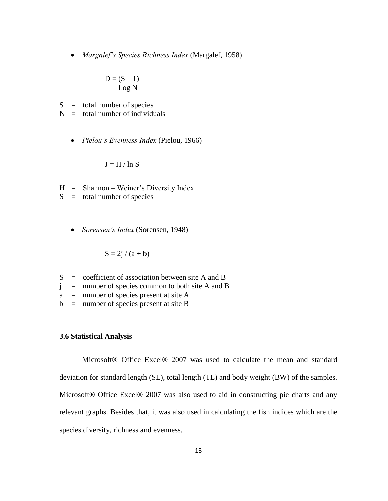*Margalef's Species Richness Index* (Margalef, 1958)

$$
D = \frac{(S-1)}{\text{Log } N}
$$

 $S =$  total number of species

- $N =$  total number of individuals
	- *Pielou's Evenness Index* (Pielou, 1966)

$$
J=H\,/\,\ln\,S
$$

- H = Shannon Weiner's Diversity Index
- $S =$  total number of species
	- *Sorensen's Index* (Sorensen, 1948)

$$
S = 2j / (a + b)
$$

- $S =$  coefficient of association between site A and B
- $j =$  number of species common to both site A and B
- a = number of species present at site A
- b = number of species present at site B

## **3.6 Statistical Analysis**

Microsoft® Office Excel® 2007 was used to calculate the mean and standard deviation for standard length (SL), total length (TL) and body weight (BW) of the samples. Microsoft® Office Excel® 2007 was also used to aid in constructing pie charts and any relevant graphs. Besides that, it was also used in calculating the fish indices which are the species diversity, richness and evenness.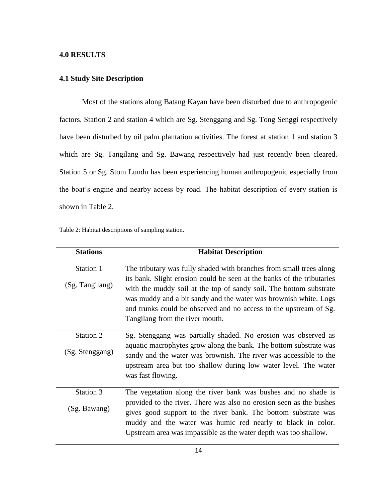## **4.0 RESULTS**

# **4.1 Study Site Description**

Most of the stations along Batang Kayan have been disturbed due to anthropogenic factors. Station 2 and station 4 which are Sg. Stenggang and Sg. Tong Senggi respectively have been disturbed by oil palm plantation activities. The forest at station 1 and station 3 which are Sg. Tangilang and Sg. Bawang respectively had just recently been cleared. Station 5 or Sg. Stom Lundu has been experiencing human anthropogenic especially from the boat's engine and nearby access by road. The habitat description of every station is shown in Table 2.

| <b>Stations</b> | <b>Habitat Description</b>                                             |  |  |
|-----------------|------------------------------------------------------------------------|--|--|
|                 |                                                                        |  |  |
| Station 1       | The tributary was fully shaded with branches from small trees along    |  |  |
| (Sg. Tangilang) | its bank. Slight erosion could be seen at the banks of the tributaries |  |  |
|                 | with the muddy soil at the top of sandy soil. The bottom substrate     |  |  |
|                 | was muddy and a bit sandy and the water was brownish white. Logs       |  |  |
|                 | and trunks could be observed and no access to the upstream of Sg.      |  |  |
|                 | Tangilang from the river mouth.                                        |  |  |
| Station 2       | Sg. Stenggang was partially shaded. No erosion was observed as         |  |  |
|                 | aquatic macrophytes grow along the bank. The bottom substrate was      |  |  |
| (Sg. Stenggang) | sandy and the water was brownish. The river was accessible to the      |  |  |
|                 | upstream area but too shallow during low water level. The water        |  |  |
|                 | was fast flowing.                                                      |  |  |
|                 |                                                                        |  |  |
| Station 3       | The vegetation along the river bank was bushes and no shade is         |  |  |
|                 | provided to the river. There was also no erosion seen as the bushes    |  |  |
| (Sg. Bawang)    | gives good support to the river bank. The bottom substrate was         |  |  |
|                 | muddy and the water was humic red nearly to black in color.            |  |  |
|                 | Upstream area was impassible as the water depth was too shallow.       |  |  |
|                 |                                                                        |  |  |

Table 2: Habitat descriptions of sampling station.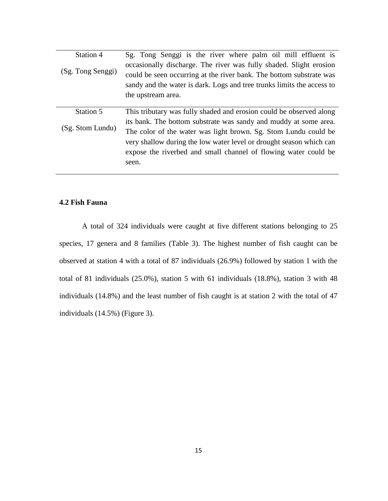| Station 4         | Sg. Tong Senggi is the river where palm oil mill effluent is                                                                                                                                                                                                                           |  |  |  |
|-------------------|----------------------------------------------------------------------------------------------------------------------------------------------------------------------------------------------------------------------------------------------------------------------------------------|--|--|--|
| (Sg. Tong Senggi) | occasionally discharge. The river was fully shaded. Slight erosion<br>could be seen occurring at the river bank. The bottom substrate was<br>sandy and the water is dark. Logs and tree trunks limits the access to<br>the upstream area.                                              |  |  |  |
| Station 5         | This tributary was fully shaded and erosion could be observed along                                                                                                                                                                                                                    |  |  |  |
| (Sg. Stom Lundu)  | its bank. The bottom substrate was sandy and muddy at some area.<br>The color of the water was light brown. Sg. Stom Lundu could be<br>very shallow during the low water level or drought season which can<br>expose the riverbed and small channel of flowing water could be<br>seen. |  |  |  |

# **4.2 Fish Fauna**

A total of 324 individuals were caught at five different stations belonging to 25 species, 17 genera and 8 families (Table 3). The highest number of fish caught can be observed at station 4 with a total of 87 individuals (26.9%) followed by station 1 with the total of 81 individuals (25.0%), station 5 with 61 individuals (18.8%), station 3 with 48 individuals (14.8%) and the least number of fish caught is at station 2 with the total of 47 individuals (14.5%) (Figure 3).